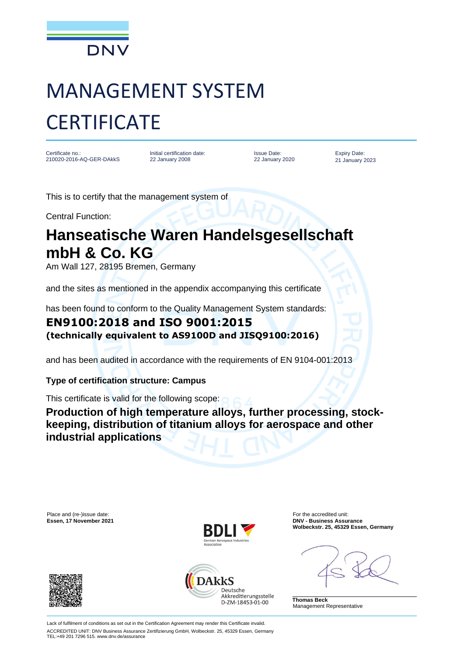

# MANAGEMENT SYSTEM **CERTIFICATE**

Certificate no.: 210020-2016-AQ-GER-DAkkS

Initial certification date: 22 January 2008

Issue Date: 22 January 2020

Expiry Date: 21 January 2023

This is to certify that the management system of

Central Function:

## **Hanseatische Waren Handelsgesellschaft mbH & Co. KG**

Am Wall 127, 28195 Bremen, Germany

and the sites as mentioned in the appendix accompanying this certificate

has been found to conform to the Quality Management System standards:

### **EN9100:2018 and ISO 9001:2015 (technically equivalent to AS9100D and JISQ9100:2016)**

and has been audited in accordance with the requirements of EN 9104-001:2013

#### **Type of certification structure: Campus**

This certificate is valid for the following scope:

**Production of high temperature alloys, further processing, stockkeeping, distribution of titanium alloys for aerospace and other industrial applications**

Place and (re-)issue date: **For the accredited unit:** For the accredited unit:







**Essen, 17 November 2021 DNV - Business Assurance Wolbeckstr. 25, 45329 Essen, Germany**

**Thomas Beck** Management Representative

Lack of fulfilment of conditions as set out in the Certification Agreement may render this Certificate invalid. ACCREDITED UNIT: DNV Business Assurance Zertifizierung GmbH, Wolbeckstr. 25, 45329 Essen, Germany TEL:+49 201 7296 515. www.dnv.de/assurance